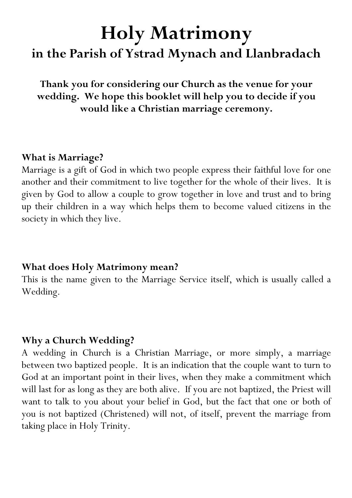# **Holy Matrimony in the Parish of Ystrad Mynach and Llanbradach**

**Thank you for considering our Church as the venue for your wedding. We hope this booklet will help you to decide if you would like a Christian marriage ceremony.**

#### **What is Marriage?**

Marriage is a gift of God in which two people express their faithful love for one another and their commitment to live together for the whole of their lives. It is given by God to allow a couple to grow together in love and trust and to bring up their children in a way which helps them to become valued citizens in the society in which they live.

#### **What does Holy Matrimony mean?**

This is the name given to the Marriage Service itself, which is usually called a Wedding.

## **Why a Church Wedding?**

A wedding in Church is a Christian Marriage, or more simply, a marriage between two baptized people. It is an indication that the couple want to turn to God at an important point in their lives, when they make a commitment which will last for as long as they are both alive. If you are not baptized, the Priest will want to talk to you about your belief in God, but the fact that one or both of you is not baptized (Christened) will not, of itself, prevent the marriage from taking place in Holy Trinity.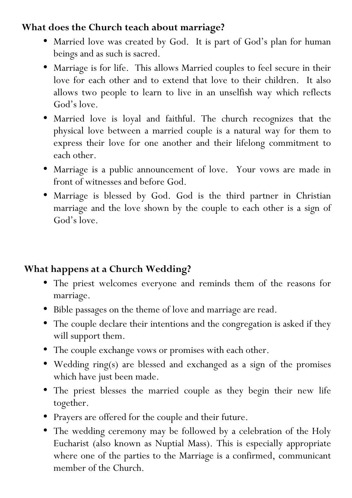## **What does the Church teach about marriage?**

- Married love was created by God. It is part of God's plan for human beings and as such is sacred.
- Marriage is for life. This allows Married couples to feel secure in their love for each other and to extend that love to their children. It also allows two people to learn to live in an unselfish way which reflects God's love.
- Married love is loyal and faithful. The church recognizes that the physical love between a married couple is a natural way for them to express their love for one another and their lifelong commitment to each other.
- Marriage is a public announcement of love. Your vows are made in front of witnesses and before God.
- Marriage is blessed by God. God is the third partner in Christian marriage and the love shown by the couple to each other is a sign of God's love.

## **What happens at a Church Wedding?**

- The priest welcomes everyone and reminds them of the reasons for marriage.
- Bible passages on the theme of love and marriage are read.
- The couple declare their intentions and the congregation is asked if they will support them.
- The couple exchange vows or promises with each other.
- Wedding ring(s) are blessed and exchanged as a sign of the promises which have just been made.
- The priest blesses the married couple as they begin their new life together.
- Prayers are offered for the couple and their future.
- The wedding ceremony may be followed by a celebration of the Holy Eucharist (also known as Nuptial Mass). This is especially appropriate where one of the parties to the Marriage is a confirmed, communicant member of the Church.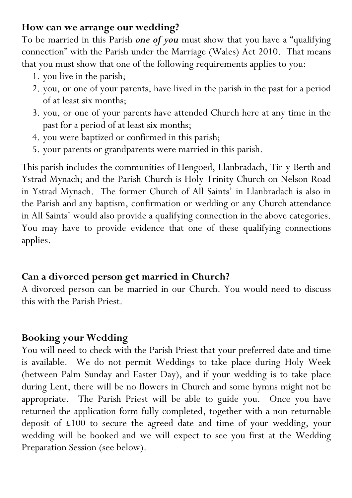#### **How can we arrange our wedding?**

To be married in this Parish *one of you* must show that you have a "qualifying connection" with the Parish under the Marriage (Wales) Act 2010. That means that you must show that one of the following requirements applies to you:

- 1. you live in the parish;
- 2. you, or one of your parents, have lived in the parish in the past for a period of at least six months;
- 3. you, or one of your parents have attended Church here at any time in the past for a period of at least six months;
- 4. you were baptized or confirmed in this parish;
- 5. your parents or grandparents were married in this parish.

This parish includes the communities of Hengoed, Llanbradach, Tir-y-Berth and Ystrad Mynach; and the Parish Church is Holy Trinity Church on Nelson Road in Ystrad Mynach. The former Church of All Saints' in Llanbradach is also in the Parish and any baptism, confirmation or wedding or any Church attendance in All Saints' would also provide a qualifying connection in the above categories. You may have to provide evidence that one of these qualifying connections applies.

# **Can a divorced person get married in Church?**

A divorced person can be married in our Church. You would need to discuss this with the Parish Priest.

# **Booking your Wedding**

You will need to check with the Parish Priest that your preferred date and time is available. We do not permit Weddings to take place during Holy Week (between Palm Sunday and Easter Day), and if your wedding is to take place during Lent, there will be no flowers in Church and some hymns might not be appropriate. The Parish Priest will be able to guide you. Once you have returned the application form fully completed, together with a non-returnable deposit of £100 to secure the agreed date and time of your wedding, your wedding will be booked and we will expect to see you first at the Wedding Preparation Session (see below).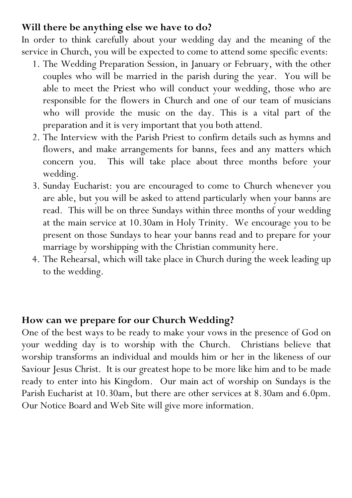#### **Will there be anything else we have to do?**

In order to think carefully about your wedding day and the meaning of the service in Church, you will be expected to come to attend some specific events:

- 1. The Wedding Preparation Session, in January or February, with the other couples who will be married in the parish during the year. You will be able to meet the Priest who will conduct your wedding, those who are responsible for the flowers in Church and one of our team of musicians who will provide the music on the day. This is a vital part of the preparation and it is very important that you both attend.
- 2. The Interview with the Parish Priest to confirm details such as hymns and flowers, and make arrangements for banns, fees and any matters which concern you. This will take place about three months before your wedding.
- 3. Sunday Eucharist: you are encouraged to come to Church whenever you are able, but you will be asked to attend particularly when your banns are read. This will be on three Sundays within three months of your wedding at the main service at 10.30am in Holy Trinity. We encourage you to be present on those Sundays to hear your banns read and to prepare for your marriage by worshipping with the Christian community here.
- 4. The Rehearsal, which will take place in Church during the week leading up to the wedding.

## **How can we prepare for our Church Wedding?**

One of the best ways to be ready to make your vows in the presence of God on your wedding day is to worship with the Church. Christians believe that worship transforms an individual and moulds him or her in the likeness of our Saviour Jesus Christ. It is our greatest hope to be more like him and to be made ready to enter into his Kingdom. Our main act of worship on Sundays is the Parish Eucharist at 10.30am, but there are other services at 8.30am and 6.0pm. Our Notice Board and Web Site will give more information.